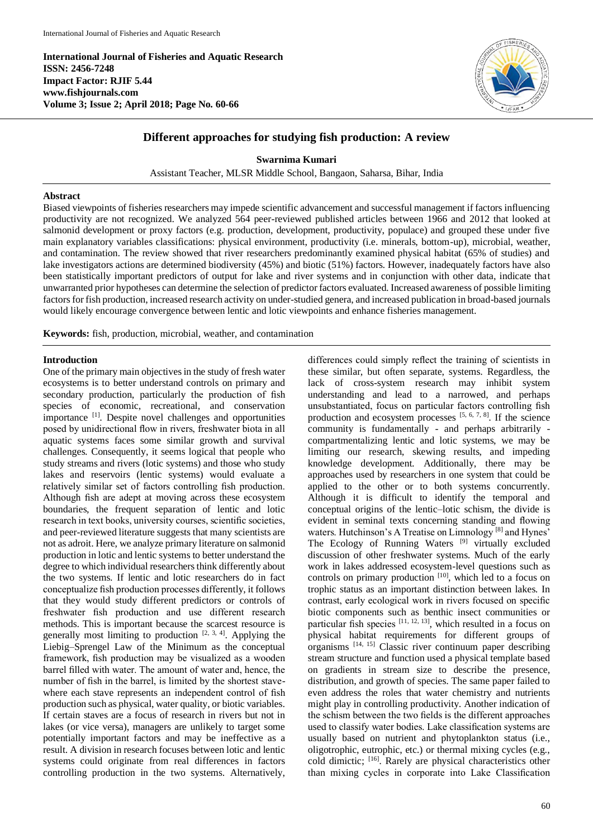**International Journal of Fisheries and Aquatic Research ISSN: 2456-7248 Impact Factor: RJIF 5.44 www.fishjournals.com Volume 3; Issue 2; April 2018; Page No. 60-66**



# **Different approaches for studying fish production: A review**

**Swarnima Kumari**

Assistant Teacher, MLSR Middle School, Bangaon, Saharsa, Bihar, India

# **Abstract**

Biased viewpoints of fisheries researchers may impede scientific advancement and successful management if factors influencing productivity are not recognized. We analyzed 564 peer-reviewed published articles between 1966 and 2012 that looked at salmonid development or proxy factors (e.g. production, development, productivity, populace) and grouped these under five main explanatory variables classifications: physical environment, productivity (i.e. minerals, bottom-up), microbial, weather, and contamination. The review showed that river researchers predominantly examined physical habitat (65% of studies) and lake investigators actions are determined biodiversity (45%) and biotic (51%) factors. However, inadequately factors have also been statistically important predictors of output for lake and river systems and in conjunction with other data, indicate that unwarranted prior hypotheses can determine the selection of predictor factors evaluated. Increased awareness of possible limiting factors for fish production, increased research activity on under-studied genera, and increased publication in broad-based journals would likely encourage convergence between lentic and lotic viewpoints and enhance fisheries management.

**Keywords:** fish, production, microbial, weather, and contamination

# **Introduction**

One of the primary main objectives in the study of fresh water ecosystems is to better understand controls on primary and secondary production, particularly the production of fish species of economic, recreational, and conservation importance [1]. Despite novel challenges and opportunities posed by unidirectional flow in rivers, freshwater biota in all aquatic systems faces some similar growth and survival challenges. Consequently, it seems logical that people who study streams and rivers (lotic systems) and those who study lakes and reservoirs (lentic systems) would evaluate a relatively similar set of factors controlling fish production. Although fish are adept at moving across these ecosystem boundaries, the frequent separation of lentic and lotic research in text books, university courses, scientific societies, and peer-reviewed literature suggests that many scientists are not as adroit. Here, we analyze primary literature on salmonid production in lotic and lentic systems to better understand the degree to which individual researchers think differently about the two systems. If lentic and lotic researchers do in fact conceptualize fish production processes differently, it follows that they would study different predictors or controls of freshwater fish production and use different research methods. This is important because the scarcest resource is generally most limiting to production  $[2, 3, 4]$ . Applying the Liebig–Sprengel Law of the Minimum as the conceptual framework, fish production may be visualized as a wooden barrel filled with water. The amount of water and, hence, the number of fish in the barrel, is limited by the shortest stavewhere each stave represents an independent control of fish production such as physical, water quality, or biotic variables. If certain staves are a focus of research in rivers but not in lakes (or vice versa), managers are unlikely to target some potentially important factors and may be ineffective as a result. A division in research focuses between lotic and lentic systems could originate from real differences in factors controlling production in the two systems. Alternatively,

differences could simply reflect the training of scientists in these similar, but often separate, systems. Regardless, the lack of cross-system research may inhibit system understanding and lead to a narrowed, and perhaps unsubstantiated, focus on particular factors controlling fish production and ecosystem processes  $[5, 6, 7, 8]$ . If the science community is fundamentally - and perhaps arbitrarily compartmentalizing lentic and lotic systems, we may be limiting our research, skewing results, and impeding knowledge development. Additionally, there may be approaches used by researchers in one system that could be applied to the other or to both systems concurrently. Although it is difficult to identify the temporal and conceptual origins of the lentic–lotic schism, the divide is evident in seminal texts concerning standing and flowing waters. Hutchinson's A Treatise on Limnology [8] and Hynes' The Ecology of Running Waters <sup>[9]</sup> virtually excluded discussion of other freshwater systems. Much of the early work in lakes addressed ecosystem-level questions such as controls on primary production  $[10]$ , which led to a focus on trophic status as an important distinction between lakes. In contrast, early ecological work in rivers focused on specific biotic components such as benthic insect communities or particular fish species  $[11, 12, 13]$ , which resulted in a focus on physical habitat requirements for different groups of organisms [14, 15] Classic river continuum paper describing stream structure and function used a physical template based on gradients in stream size to describe the presence, distribution, and growth of species. The same paper failed to even address the roles that water chemistry and nutrients might play in controlling productivity. Another indication of the schism between the two fields is the different approaches used to classify water bodies. Lake classification systems are usually based on nutrient and phytoplankton status (i.e., oligotrophic, eutrophic, etc.) or thermal mixing cycles (e.g., cold dimictic; [16]. Rarely are physical characteristics other than mixing cycles in corporate into Lake Classification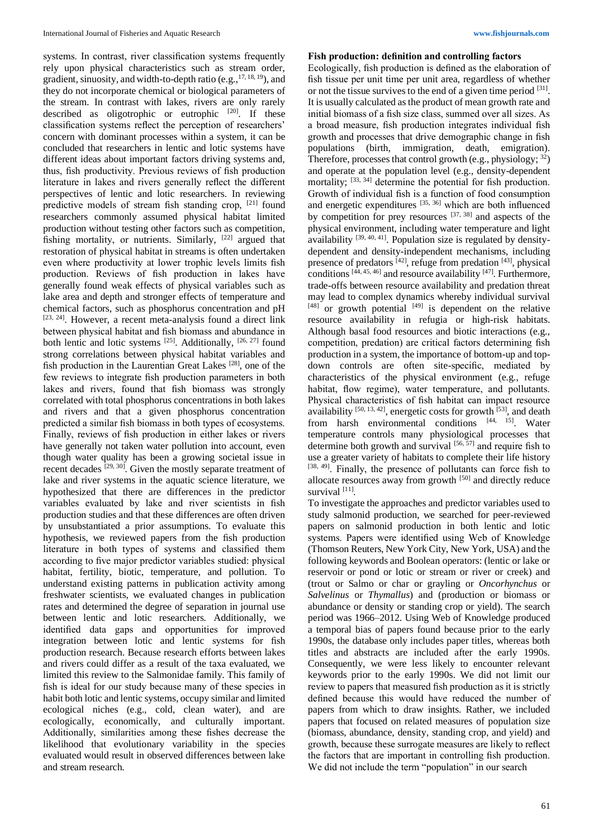systems. In contrast, river classification systems frequently rely upon physical characteristics such as stream order, gradient, sinuosity, and width-to-depth ratio (e.g.,  $^{17, 18, 19}$ ), and they do not incorporate chemical or biological parameters of the stream. In contrast with lakes, rivers are only rarely described as oligotrophic or eutrophic <sup>[20]</sup>. If these classification systems reflect the perception of researchers' concern with dominant processes within a system, it can be concluded that researchers in lentic and lotic systems have different ideas about important factors driving systems and, thus, fish productivity. Previous reviews of fish production literature in lakes and rivers generally reflect the different perspectives of lentic and lotic researchers. In reviewing predictive models of stream fish standing crop, [21] found researchers commonly assumed physical habitat limited production without testing other factors such as competition, fishing mortality, or nutrients. Similarly,  $[22]$  argued that restoration of physical habitat in streams is often undertaken even where productivity at lower trophic levels limits fish production. Reviews of fish production in lakes have generally found weak effects of physical variables such as lake area and depth and stronger effects of temperature and chemical factors, such as phosphorus concentration and pH [23, 24]. However, a recent meta-analysis found a direct link between physical habitat and fish biomass and abundance in both lentic and lotic systems  $[25]$ . Additionally,  $[26, 27]$  found strong correlations between physical habitat variables and fish production in the Laurentian Great Lakes [28], one of the few reviews to integrate fish production parameters in both lakes and rivers, found that fish biomass was strongly correlated with total phosphorus concentrations in both lakes and rivers and that a given phosphorus concentration predicted a similar fish biomass in both types of ecosystems. Finally, reviews of fish production in either lakes or rivers have generally not taken water pollution into account, even though water quality has been a growing societal issue in recent decades <sup>[29, 30]</sup>. Given the mostly separate treatment of lake and river systems in the aquatic science literature, we hypothesized that there are differences in the predictor variables evaluated by lake and river scientists in fish production studies and that these differences are often driven by unsubstantiated a prior assumptions. To evaluate this hypothesis, we reviewed papers from the fish production literature in both types of systems and classified them according to five major predictor variables studied: physical habitat, fertility, biotic, temperature, and pollution. To understand existing patterns in publication activity among freshwater scientists, we evaluated changes in publication rates and determined the degree of separation in journal use between lentic and lotic researchers. Additionally, we identified data gaps and opportunities for improved integration between lotic and lentic systems for fish production research. Because research efforts between lakes and rivers could differ as a result of the taxa evaluated, we limited this review to the Salmonidae family. This family of fish is ideal for our study because many of these species in habit both lotic and lentic systems, occupy similar and limited ecological niches (e.g., cold, clean water), and are ecologically, economically, and culturally important. Additionally, similarities among these fishes decrease the likelihood that evolutionary variability in the species evaluated would result in observed differences between lake and stream research.

#### **Fish production: definition and controlling factors**

Ecologically, fish production is defined as the elaboration of fish tissue per unit time per unit area, regardless of whether or not the tissue survives to the end of a given time period [31]. It is usually calculated as the product of mean growth rate and initial biomass of a fish size class, summed over all sizes. As a broad measure, fish production integrates individual fish growth and processes that drive demographic change in fish populations (birth, immigration, death, emigration). Therefore, processes that control growth (e.g., physiology;  $32$ ) and operate at the population level (e.g., density-dependent mortality: [33, 34] determine the potential for fish production. Growth of individual fish is a function of food consumption and energetic expenditures  $[35, 36]$  which are both influenced by competition for prey resources  $[37, 38]$  and aspects of the physical environment, including water temperature and light availability  $[39, 40, 41]$ . Population size is regulated by densitydependent and density-independent mechanisms, including presence of predators <sup>[42]</sup>, refuge from predation <sup>[43]</sup>, physical conditions  $[44, 45, 46]$  and resource availability  $[47]$ . Furthermore, trade-offs between resource availability and predation threat may lead to complex dynamics whereby individual survival  $[48]$  or growth potential  $[49]$  is dependent on the relative resource availability in refugia or high-risk habitats. Although basal food resources and biotic interactions (e.g., competition, predation) are critical factors determining fish production in a system, the importance of bottom-up and topdown controls are often site-specific, mediated by characteristics of the physical environment (e.g., refuge habitat, flow regime), water temperature, and pollutants. Physical characteristics of fish habitat can impact resource availability  $[50, 13, 42]$ , energetic costs for growth  $[53]$ , and death from harsh environmental conditions [44, 15]. Water temperature controls many physiological processes that determine both growth and survival  $[56, 57]$  and require fish to use a greater variety of habitats to complete their life history [38, 49]. Finally, the presence of pollutants can force fish to allocate resources away from growth [50] and directly reduce survival [11].

To investigate the approaches and predictor variables used to study salmonid production, we searched for peer-reviewed papers on salmonid production in both lentic and lotic systems. Papers were identified using Web of Knowledge (Thomson Reuters, New York City, New York, USA) and the following keywords and Boolean operators: (lentic or lake or reservoir or pond or lotic or stream or river or creek) and (trout or Salmo or char or grayling or *Oncorhynchus* or *Salvelinus* or *Thymallus*) and (production or biomass or abundance or density or standing crop or yield). The search period was 1966–2012. Using Web of Knowledge produced a temporal bias of papers found because prior to the early 1990s, the database only includes paper titles, whereas both titles and abstracts are included after the early 1990s. Consequently, we were less likely to encounter relevant keywords prior to the early 1990s. We did not limit our review to papers that measured fish production as it is strictly defined because this would have reduced the number of papers from which to draw insights. Rather, we included papers that focused on related measures of population size (biomass, abundance, density, standing crop, and yield) and growth, because these surrogate measures are likely to reflect the factors that are important in controlling fish production. We did not include the term "population" in our search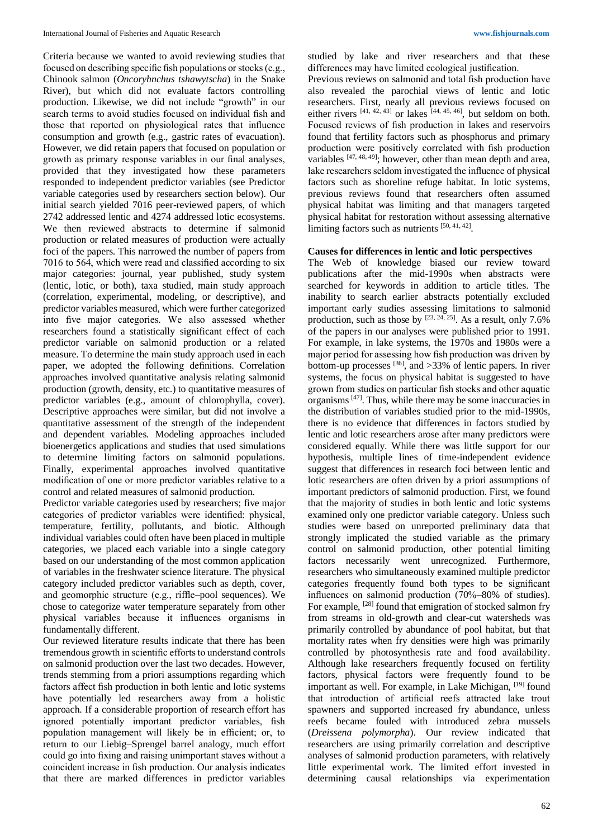Criteria because we wanted to avoid reviewing studies that focused on describing specific fish populations or stocks (e.g., Chinook salmon (*Oncoryhnchus tshawytscha*) in the Snake River), but which did not evaluate factors controlling production. Likewise, we did not include "growth" in our search terms to avoid studies focused on individual fish and those that reported on physiological rates that influence consumption and growth (e.g., gastric rates of evacuation). However, we did retain papers that focused on population or growth as primary response variables in our final analyses, provided that they investigated how these parameters responded to independent predictor variables (see Predictor variable categories used by researchers section below). Our initial search yielded 7016 peer-reviewed papers, of which 2742 addressed lentic and 4274 addressed lotic ecosystems. We then reviewed abstracts to determine if salmonid production or related measures of production were actually foci of the papers. This narrowed the number of papers from 7016 to 564, which were read and classified according to six major categories: journal, year published, study system (lentic, lotic, or both), taxa studied, main study approach (correlation, experimental, modeling, or descriptive), and predictor variables measured, which were further categorized into five major categories. We also assessed whether researchers found a statistically significant effect of each predictor variable on salmonid production or a related measure. To determine the main study approach used in each paper, we adopted the following definitions. Correlation approaches involved quantitative analysis relating salmonid production (growth, density, etc.) to quantitative measures of predictor variables (e.g., amount of chlorophylla, cover). Descriptive approaches were similar, but did not involve a quantitative assessment of the strength of the independent and dependent variables. Modeling approaches included bioenergetics applications and studies that used simulations to determine limiting factors on salmonid populations. Finally, experimental approaches involved quantitative modification of one or more predictor variables relative to a control and related measures of salmonid production.

Predictor variable categories used by researchers; five major categories of predictor variables were identified: physical, temperature, fertility, pollutants, and biotic. Although individual variables could often have been placed in multiple categories, we placed each variable into a single category based on our understanding of the most common application of variables in the freshwater science literature. The physical category included predictor variables such as depth, cover, and geomorphic structure (e.g., riffle–pool sequences). We chose to categorize water temperature separately from other physical variables because it influences organisms in fundamentally different.

Our reviewed literature results indicate that there has been tremendous growth in scientific efforts to understand controls on salmonid production over the last two decades. However, trends stemming from a priori assumptions regarding which factors affect fish production in both lentic and lotic systems have potentially led researchers away from a holistic approach. If a considerable proportion of research effort has ignored potentially important predictor variables, fish population management will likely be in efficient; or, to return to our Liebig–Sprengel barrel analogy, much effort could go into fixing and raising unimportant staves without a coincident increase in fish production. Our analysis indicates that there are marked differences in predictor variables studied by lake and river researchers and that these differences may have limited ecological justification.

Previous reviews on salmonid and total fish production have also revealed the parochial views of lentic and lotic researchers. First, nearly all previous reviews focused on either rivers  $[41, 42, 43]$  or lakes  $[44, 45, 46]$ , but seldom on both. Focused reviews of fish production in lakes and reservoirs found that fertility factors such as phosphorus and primary production were positively correlated with fish production variables  $[47, 48, 49]$ ; however, other than mean depth and area, lake researchers seldom investigated the influence of physical factors such as shoreline refuge habitat. In lotic systems, previous reviews found that researchers often assumed physical habitat was limiting and that managers targeted physical habitat for restoration without assessing alternative limiting factors such as nutrients [50, 41, 42].

#### **Causes for differences in lentic and lotic perspectives**

The Web of knowledge biased our review toward publications after the mid-1990s when abstracts were searched for keywords in addition to article titles. The inability to search earlier abstracts potentially excluded important early studies assessing limitations to salmonid production, such as those by  $[23, 24, 25]$ . As a result, only 7.6% of the papers in our analyses were published prior to 1991. For example, in lake systems, the 1970s and 1980s were a major period for assessing how fish production was driven by bottom-up processes  $\left[\frac{36}{6}\right]$ , and  $>33\%$  of lentic papers. In river systems, the focus on physical habitat is suggested to have grown from studies on particular fish stocks and other aquatic organisms [47]. Thus, while there may be some inaccuracies in the distribution of variables studied prior to the mid-1990s, there is no evidence that differences in factors studied by lentic and lotic researchers arose after many predictors were considered equally. While there was little support for our hypothesis, multiple lines of time-independent evidence suggest that differences in research foci between lentic and lotic researchers are often driven by a priori assumptions of important predictors of salmonid production. First, we found that the majority of studies in both lentic and lotic systems examined only one predictor variable category. Unless such studies were based on unreported preliminary data that strongly implicated the studied variable as the primary control on salmonid production, other potential limiting factors necessarily went unrecognized. Furthermore, researchers who simultaneously examined multiple predictor categories frequently found both types to be significant influences on salmonid production (70%–80% of studies). For example,  $^{[28]}$  found that emigration of stocked salmon fry from streams in old-growth and clear-cut watersheds was primarily controlled by abundance of pool habitat, but that mortality rates when fry densities were high was primarily controlled by photosynthesis rate and food availability. Although lake researchers frequently focused on fertility factors, physical factors were frequently found to be important as well. For example, in Lake Michigan, [19] found that introduction of artificial reefs attracted lake trout spawners and supported increased fry abundance, unless reefs became fouled with introduced zebra mussels (*Dreissena polymorpha*). Our review indicated that researchers are using primarily correlation and descriptive analyses of salmonid production parameters, with relatively little experimental work. The limited effort invested in determining causal relationships via experimentation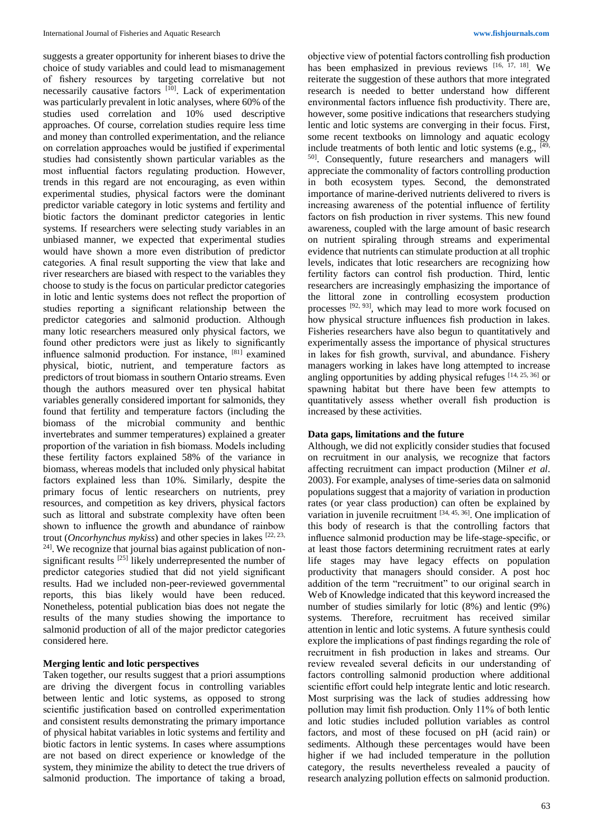suggests a greater opportunity for inherent biases to drive the choice of study variables and could lead to mismanagement of fishery resources by targeting correlative but not necessarily causative factors [10]. Lack of experimentation was particularly prevalent in lotic analyses, where 60% of the studies used correlation and 10% used descriptive approaches. Of course, correlation studies require less time and money than controlled experimentation, and the reliance on correlation approaches would be justified if experimental studies had consistently shown particular variables as the most influential factors regulating production. However, trends in this regard are not encouraging, as even within experimental studies, physical factors were the dominant predictor variable category in lotic systems and fertility and biotic factors the dominant predictor categories in lentic systems. If researchers were selecting study variables in an unbiased manner, we expected that experimental studies would have shown a more even distribution of predictor categories. A final result supporting the view that lake and river researchers are biased with respect to the variables they choose to study is the focus on particular predictor categories in lotic and lentic systems does not reflect the proportion of studies reporting a significant relationship between the predictor categories and salmonid production. Although many lotic researchers measured only physical factors, we found other predictors were just as likely to significantly influence salmonid production. For instance, [81] examined physical, biotic, nutrient, and temperature factors as predictors of trout biomass in southern Ontario streams. Even though the authors measured over ten physical habitat variables generally considered important for salmonids, they found that fertility and temperature factors (including the biomass of the microbial community and benthic invertebrates and summer temperatures) explained a greater proportion of the variation in fish biomass. Models including these fertility factors explained 58% of the variance in biomass, whereas models that included only physical habitat factors explained less than 10%. Similarly, despite the primary focus of lentic researchers on nutrients, prey resources, and competition as key drivers, physical factors such as littoral and substrate complexity have often been shown to influence the growth and abundance of rainbow trout (*Oncorhynchus mykiss*) and other species in lakes [22, 23, <sup>24]</sup>. We recognize that journal bias against publication of nonsignificant results <sup>[25]</sup> likely underrepresented the number of predictor categories studied that did not yield significant results. Had we included non-peer-reviewed governmental reports, this bias likely would have been reduced. Nonetheless, potential publication bias does not negate the results of the many studies showing the importance to salmonid production of all of the major predictor categories considered here.

## **Merging lentic and lotic perspectives**

Taken together, our results suggest that a priori assumptions are driving the divergent focus in controlling variables between lentic and lotic systems, as opposed to strong scientific justification based on controlled experimentation and consistent results demonstrating the primary importance of physical habitat variables in lotic systems and fertility and biotic factors in lentic systems. In cases where assumptions are not based on direct experience or knowledge of the system, they minimize the ability to detect the true drivers of salmonid production. The importance of taking a broad,

objective view of potential factors controlling fish production has been emphasized in previous reviews [16, 17, 18]. We reiterate the suggestion of these authors that more integrated research is needed to better understand how different environmental factors influence fish productivity. There are, however, some positive indications that researchers studying lentic and lotic systems are converging in their focus. First, some recent textbooks on limnology and aquatic ecology include treatments of both lentic and lotic systems (e.g.,  $[49, 69]$ 50]. Consequently, future researchers and managers will appreciate the commonality of factors controlling production in both ecosystem types. Second, the demonstrated importance of marine-derived nutrients delivered to rivers is increasing awareness of the potential influence of fertility factors on fish production in river systems. This new found awareness, coupled with the large amount of basic research on nutrient spiraling through streams and experimental evidence that nutrients can stimulate production at all trophic levels, indicates that lotic researchers are recognizing how fertility factors can control fish production. Third, lentic researchers are increasingly emphasizing the importance of the littoral zone in controlling ecosystem production processes  $[92, 93]$ , which may lead to more work focused on how physical structure influences fish production in lakes. Fisheries researchers have also begun to quantitatively and experimentally assess the importance of physical structures in lakes for fish growth, survival, and abundance. Fishery managers working in lakes have long attempted to increase angling opportunities by adding physical refuges  $[14, 25, 36]$  or spawning habitat but there have been few attempts to quantitatively assess whether overall fish production is increased by these activities.

## **Data gaps, limitations and the future**

Although, we did not explicitly consider studies that focused on recruitment in our analysis, we recognize that factors affecting recruitment can impact production (Milner *et al*. 2003). For example, analyses of time-series data on salmonid populations suggest that a majority of variation in production rates (or year class production) can often be explained by variation in juvenile recruitment [34, 45, 36]. One implication of this body of research is that the controlling factors that influence salmonid production may be life-stage-specific, or at least those factors determining recruitment rates at early life stages may have legacy effects on population productivity that managers should consider. A post hoc addition of the term "recruitment" to our original search in Web of Knowledge indicated that this keyword increased the number of studies similarly for lotic (8%) and lentic (9%) systems. Therefore, recruitment has received similar attention in lentic and lotic systems. A future synthesis could explore the implications of past findings regarding the role of recruitment in fish production in lakes and streams. Our review revealed several deficits in our understanding of factors controlling salmonid production where additional scientific effort could help integrate lentic and lotic research. Most surprising was the lack of studies addressing how pollution may limit fish production. Only 11% of both lentic and lotic studies included pollution variables as control factors, and most of these focused on pH (acid rain) or sediments. Although these percentages would have been higher if we had included temperature in the pollution category, the results nevertheless revealed a paucity of research analyzing pollution effects on salmonid production.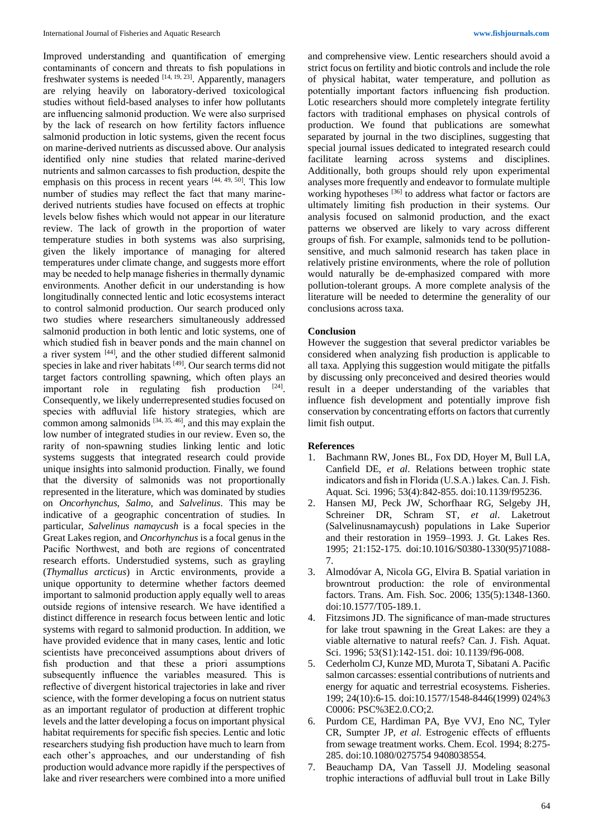Improved understanding and quantification of emerging contaminants of concern and threats to fish populations in freshwater systems is needed  $[14, 19, 23]$ . Apparently, managers are relying heavily on laboratory-derived toxicological studies without field-based analyses to infer how pollutants are influencing salmonid production. We were also surprised by the lack of research on how fertility factors influence salmonid production in lotic systems, given the recent focus on marine-derived nutrients as discussed above. Our analysis identified only nine studies that related marine-derived nutrients and salmon carcasses to fish production, despite the emphasis on this process in recent years [44, 49, 50]. This low number of studies may reflect the fact that many marinederived nutrients studies have focused on effects at trophic levels below fishes which would not appear in our literature review. The lack of growth in the proportion of water temperature studies in both systems was also surprising, given the likely importance of managing for altered temperatures under climate change, and suggests more effort may be needed to help manage fisheries in thermally dynamic environments. Another deficit in our understanding is how longitudinally connected lentic and lotic ecosystems interact to control salmonid production. Our search produced only two studies where researchers simultaneously addressed salmonid production in both lentic and lotic systems, one of which studied fish in beaver ponds and the main channel on a river system [44], and the other studied different salmonid species in lake and river habitats <sup>[49]</sup>. Our search terms did not target factors controlling spawning, which often plays an important role in regulating fish production  $[24]$ . Consequently, we likely underrepresented studies focused on species with adfluvial life history strategies, which are common among salmonids [34, 35, 46], and this may explain the low number of integrated studies in our review. Even so, the rarity of non-spawning studies linking lentic and lotic systems suggests that integrated research could provide unique insights into salmonid production. Finally, we found that the diversity of salmonids was not proportionally represented in the literature, which was dominated by studies on *Oncorhynchus*, *Salmo*, and *Salvelinus*. This may be indicative of a geographic concentration of studies. In particular, *Salvelinus namaycush* is a focal species in the Great Lakes region, and *Oncorhynchus* is a focal genus in the Pacific Northwest, and both are regions of concentrated research efforts. Understudied systems, such as grayling (*Thymallus arcticus*) in Arctic environments, provide a unique opportunity to determine whether factors deemed important to salmonid production apply equally well to areas outside regions of intensive research. We have identified a distinct difference in research focus between lentic and lotic systems with regard to salmonid production. In addition, we have provided evidence that in many cases, lentic and lotic scientists have preconceived assumptions about drivers of fish production and that these a priori assumptions subsequently influence the variables measured. This is reflective of divergent historical trajectories in lake and river science, with the former developing a focus on nutrient status as an important regulator of production at different trophic levels and the latter developing a focus on important physical habitat requirements for specific fish species. Lentic and lotic researchers studying fish production have much to learn from each other's approaches, and our understanding of fish production would advance more rapidly if the perspectives of lake and river researchers were combined into a more unified

and comprehensive view. Lentic researchers should avoid a strict focus on fertility and biotic controls and include the role of physical habitat, water temperature, and pollution as potentially important factors influencing fish production. Lotic researchers should more completely integrate fertility factors with traditional emphases on physical controls of production. We found that publications are somewhat separated by journal in the two disciplines, suggesting that special journal issues dedicated to integrated research could facilitate learning across systems and disciplines. Additionally, both groups should rely upon experimental analyses more frequently and endeavor to formulate multiple working hypotheses <sup>[36]</sup> to address what factor or factors are ultimately limiting fish production in their systems. Our analysis focused on salmonid production, and the exact patterns we observed are likely to vary across different groups of fish. For example, salmonids tend to be pollutionsensitive, and much salmonid research has taken place in relatively pristine environments, where the role of pollution would naturally be de-emphasized compared with more pollution-tolerant groups. A more complete analysis of the literature will be needed to determine the generality of our conclusions across taxa.

# **Conclusion**

However the suggestion that several predictor variables be considered when analyzing fish production is applicable to all taxa. Applying this suggestion would mitigate the pitfalls by discussing only preconceived and desired theories would result in a deeper understanding of the variables that influence fish development and potentially improve fish conservation by concentrating efforts on factors that currently limit fish output.

#### **References**

- 1. Bachmann RW, Jones BL, Fox DD, Hoyer M, Bull LA, Canfield DE, *et al*. Relations between trophic state indicators and fish in Florida (U.S.A.) lakes. Can. J. Fish. Aquat. Sci. 1996; 53(4):842-855. doi:10.1139/f95236.
- 2. Hansen MJ, Peck JW, Schorfhaar RG, Selgeby JH, Schreiner DR, Schram ST, *et al*. Laketrout (Salvelinusnamaycush) populations in Lake Superior and their restoration in 1959–1993. J. Gt. Lakes Res. 1995; 21:152-175. doi:10.1016/S0380-1330(95)71088- 7.
- 3. Almodóvar A, Nicola GG, Elvira B. Spatial variation in browntrout production: the role of environmental factors. Trans. Am. Fish. Soc. 2006; 135(5):1348-1360. doi:10.1577/T05-189.1.
- 4. Fitzsimons JD. The significance of man-made structures for lake trout spawning in the Great Lakes: are they a viable alternative to natural reefs? Can. J. Fish. Aquat. Sci. 1996; 53(S1):142-151. doi: 10.1139/f96-008.
- 5. Cederholm CJ, Kunze MD, Murota T, Sibatani A. Pacific salmon carcasses: essential contributions of nutrients and energy for aquatic and terrestrial ecosystems. Fisheries. 199; 24(10):6-15. doi:10.1577/1548-8446(1999) 024%3 C0006: PSC%3E2.0.CO;2.
- 6. Purdom CE, Hardiman PA, Bye VVJ, Eno NC, Tyler CR, Sumpter JP, *et al*. Estrogenic effects of effluents from sewage treatment works. Chem. Ecol. 1994; 8:275- 285. doi:10.1080/0275754 9408038554.
- 7. Beauchamp DA, Van Tassell JJ. Modeling seasonal trophic interactions of adfluvial bull trout in Lake Billy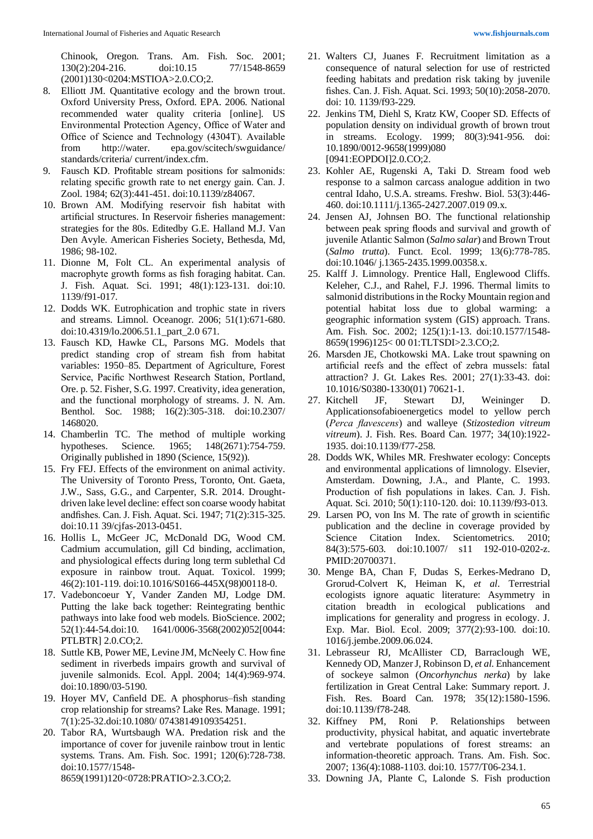Chinook, Oregon. Trans. Am. Fish. Soc. 2001; 130(2):204-216. doi:10.15 77/1548-8659 (2001)130<0204:MSTIOA>2.0.CO;2.

- 8. Elliott JM. Quantitative ecology and the brown trout. Oxford University Press, Oxford. EPA. 2006. National recommended water quality criteria [online]. US Environmental Protection Agency, Office of Water and Office of Science and Technology (4304T). Available from http://water. epa.gov/scitech/swguidance/ standards/criteria/ current/index.cfm.
- 9. Fausch KD. Profitable stream positions for salmonids: relating specific growth rate to net energy gain. Can. J. Zool. 1984; 62(3):441-451. doi:10.1139/z84067.
- 10. Brown AM. Modifying reservoir fish habitat with artificial structures. In Reservoir fisheries management: strategies for the 80s. Editedby G.E. Halland M.J. Van Den Avyle. American Fisheries Society, Bethesda, Md, 1986; 98-102.
- 11. Dionne M, Folt CL. An experimental analysis of macrophyte growth forms as fish foraging habitat. Can. J. Fish. Aquat. Sci. 1991; 48(1):123-131. doi:10. 1139/f91-017.
- 12. Dodds WK. Eutrophication and trophic state in rivers and streams. Limnol. Oceanogr. 2006; 51(1):671-680. doi:10.4319/lo.2006.51.1\_part\_2.0 671.
- 13. Fausch KD, Hawke CL, Parsons MG. Models that predict standing crop of stream fish from habitat variables: 1950–85. Department of Agriculture, Forest Service, Pacific Northwest Research Station, Portland, Ore. p. 52. Fisher, S.G. 1997. Creativity, idea generation, and the functional morphology of streams. J. N. Am. Benthol. Soc. 1988; 16(2):305-318. doi:10.2307/ 1468020.
- 14. Chamberlin TC. The method of multiple working hypotheses. Science. 1965; 148(2671):754-759. Originally published in 1890 (Science, 15(92)).
- 15. Fry FEJ. Effects of the environment on animal activity. The University of Toronto Press, Toronto, Ont. Gaeta, J.W., Sass, G.G., and Carpenter, S.R. 2014. Droughtdriven lake level decline: effect son coarse woody habitat andfishes. Can. J. Fish. Aquat. Sci. 1947; 71(2):315-325. doi:10.11 39/cjfas-2013-0451.
- 16. Hollis L, McGeer JC, McDonald DG, Wood CM. Cadmium accumulation, gill Cd binding, acclimation, and physiological effects during long term sublethal Cd exposure in rainbow trout. Aquat. Toxicol. 1999; 46(2):101-119. doi:10.1016/S0166-445X(98)00118-0.
- 17. Vadeboncoeur Y, Vander Zanden MJ, Lodge DM. Putting the lake back together: Reintegrating benthic pathways into lake food web models. BioScience. 2002; 52(1):44-54.doi:10. 1641/0006-3568(2002)052[0044: PTLBTR] 2.0.CO;2.
- 18. Suttle KB, Power ME, Levine JM, McNeely C. How fine sediment in riverbeds impairs growth and survival of juvenile salmonids. Ecol. Appl. 2004; 14(4):969-974. doi:10.1890/03-5190.
- 19. Hoyer MV, Canfield DE. A phosphorus–fish standing crop relationship for streams? Lake Res. Manage. 1991; 7(1):25-32.doi:10.1080/ 07438149109354251.
- 20. Tabor RA, Wurtsbaugh WA. Predation risk and the importance of cover for juvenile rainbow trout in lentic systems. Trans. Am. Fish. Soc. 1991; 120(6):728-738. doi:10.1577/1548- 8659(1991)120<0728:PRATIO>2.3.CO;2.
- 21. Walters CJ, Juanes F. Recruitment limitation as a consequence of natural selection for use of restricted feeding habitats and predation risk taking by juvenile fishes. Can. J. Fish. Aquat. Sci. 1993; 50(10):2058-2070. doi: 10. 1139/f93-229.
- 22. Jenkins TM, Diehl S, Kratz KW, Cooper SD. Effects of population density on individual growth of brown trout in streams. Ecology. 1999; 80(3):941-956. doi: 10.1890/0012-9658(1999)080 [0941:EOPDOI]2.0.CO;2.
- 23. Kohler AE, Rugenski A, Taki D. Stream food web response to a salmon carcass analogue addition in two central Idaho, U.S.A. streams. Freshw. Biol. 53(3):446- 460. doi:10.1111/j.1365-2427.2007.019 09.x.
- 24. Jensen AJ, Johnsen BO. The functional relationship between peak spring floods and survival and growth of juvenile Atlantic Salmon (*Salmo salar*) and Brown Trout (*Salmo trutta*). Funct. Ecol. 1999; 13(6):778-785. doi:10.1046/ j.1365-2435.1999.00358.x.
- 25. Kalff J. Limnology. Prentice Hall, Englewood Cliffs. Keleher, C.J., and Rahel, F.J. 1996. Thermal limits to salmonid distributions in the Rocky Mountain region and potential habitat loss due to global warming: a geographic information system (GIS) approach. Trans. Am. Fish. Soc. 2002; 125(1):1-13. doi:10.1577/1548- 8659(1996)125< 00 01:TLTSDI>2.3.CO;2.
- 26. Marsden JE, Chotkowski MA. Lake trout spawning on artificial reefs and the effect of zebra mussels: fatal attraction? J. Gt. Lakes Res. 2001; 27(1):33-43. doi: 10.1016/S0380-1330(01) 70621-1.
- 27. Kitchell JF, Stewart DJ, Weininger D. Applicationsofabioenergetics model to yellow perch (*Perca flavescens*) and walleye (*Stizostedion vitreum vitreum*). J. Fish. Res. Board Can. 1977; 34(10):1922- 1935. doi:10.1139/f77-258.
- 28. Dodds WK, Whiles MR. Freshwater ecology: Concepts and environmental applications of limnology. Elsevier, Amsterdam. Downing, J.A., and Plante, C. 1993. Production of fish populations in lakes. Can. J. Fish. Aquat. Sci. 2010; 50(1):110-120. doi: 10.1139/f93-013.
- 29. Larsen PO, von Ins M. The rate of growth in scientific publication and the decline in coverage provided by Science Citation Index. Scientometrics. 2010; 84(3):575-603. doi:10.1007/ s11 192-010-0202-z. PMID:20700371.
- 30. Menge BA, Chan F, Dudas S, Eerkes-Medrano D, Grorud-Colvert K, Heiman K, *et al*. Terrestrial ecologists ignore aquatic literature: Asymmetry in citation breadth in ecological publications and implications for generality and progress in ecology. J. Exp. Mar. Biol. Ecol. 2009; 377(2):93-100. doi:10. 1016/j.jembe.2009.06.024.
- 31. Lebrasseur RJ, McAllister CD, Barraclough WE, Kennedy OD, Manzer J, Robinson D, *et al*. Enhancement of sockeye salmon (*Oncorhynchus nerka*) by lake fertilization in Great Central Lake: Summary report. J. Fish. Res. Board Can. 1978; 35(12):1580-1596. doi:10.1139/f78-248.
- 32. Kiffney PM, Roni P. Relationships between productivity, physical habitat, and aquatic invertebrate and vertebrate populations of forest streams: an information-theoretic approach. Trans. Am. Fish. Soc. 2007; 136(4):1088-1103. doi:10. 1577/T06-234.1.
- 33. Downing JA, Plante C, Lalonde S. Fish production